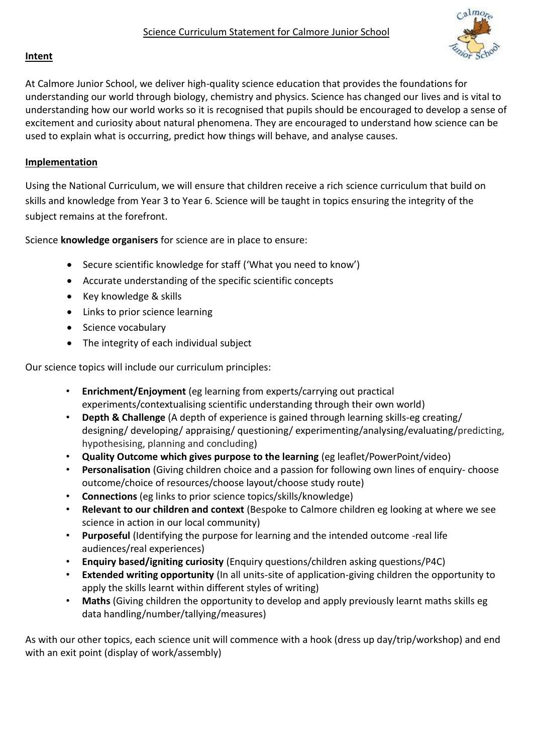

## **Intent**

At Calmore Junior School, we deliver high-quality science education that provides the foundations for understanding our world through biology, chemistry and physics. Science has changed our lives and is vital to understanding how our world works so it is recognised that pupils should be encouraged to develop a sense of excitement and curiosity about natural phenomena. They are encouraged to understand how science can be used to explain what is occurring, predict how things will behave, and analyse causes.

## **Implementation**

Using the National Curriculum, we will ensure that children receive a rich science curriculum that build on skills and knowledge from Year 3 to Year 6. Science will be taught in topics ensuring the integrity of the subject remains at the forefront.

Science **knowledge organisers** for science are in place to ensure:

- Secure scientific knowledge for staff ('What you need to know')
- Accurate understanding of the specific scientific concepts
- Key knowledge & skills
- Links to prior science learning
- Science vocabulary
- The integrity of each individual subject

Our science topics will include our curriculum principles:

- **Enrichment/Enjoyment** (eg learning from experts/carrying out practical experiments/contextualising scientific understanding through their own world)
- **Depth & Challenge** (A depth of experience is gained through learning skills-eg creating/ designing/ developing/ appraising/ questioning/ experimenting/analysing/evaluating/predicting, hypothesising, planning and concluding)
- **Quality Outcome which gives purpose to the learning** (eg leaflet/PowerPoint/video)
- **Personalisation** (Giving children choice and a passion for following own lines of enquiry- choose outcome/choice of resources/choose layout/choose study route)
- **Connections** (eg links to prior science topics/skills/knowledge)
- **Relevant to our children and context** (Bespoke to Calmore children eg looking at where we see science in action in our local community)
- **Purposeful** (Identifying the purpose for learning and the intended outcome -real life audiences/real experiences)
- **Enquiry based/igniting curiosity** (Enquiry questions/children asking questions/P4C)
- **Extended writing opportunity** (In all units-site of application-giving children the opportunity to apply the skills learnt within different styles of writing)
- **Maths** (Giving children the opportunity to develop and apply previously learnt maths skills eg data handling/number/tallying/measures)

As with our other topics, each science unit will commence with a hook (dress up day/trip/workshop) and end with an exit point (display of work/assembly)